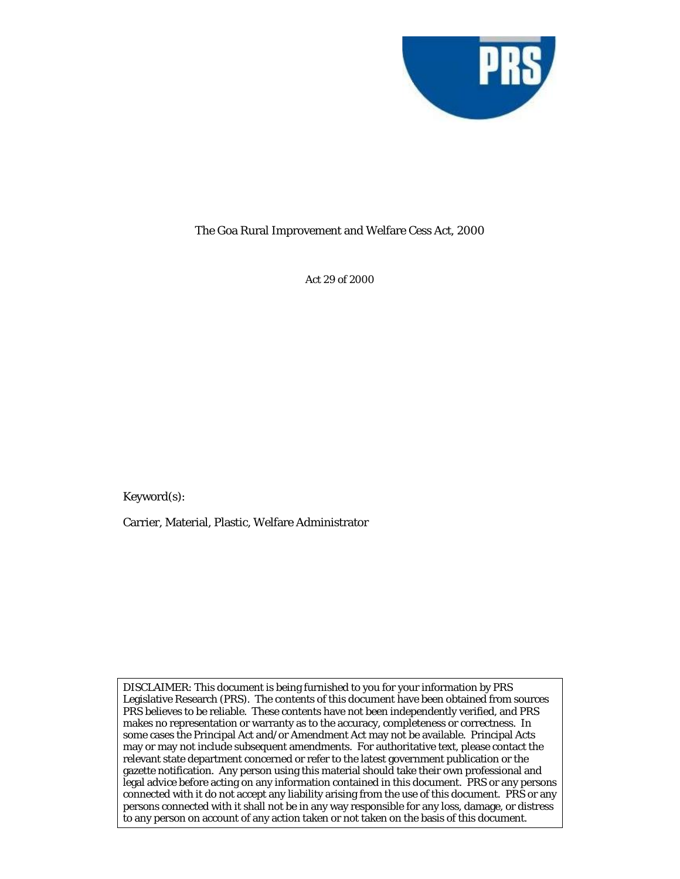

## The Goa Rural Improvement and Welfare Cess Act, 2000

Act 29 of 2000

Keyword(s):

Carrier, Material, Plastic, Welfare Administrator

DISCLAIMER: This document is being furnished to you for your information by PRS Legislative Research (PRS). The contents of this document have been obtained from sources PRS believes to be reliable. These contents have not been independently verified, and PRS makes no representation or warranty as to the accuracy, completeness or correctness. In some cases the Principal Act and/or Amendment Act may not be available. Principal Acts may or may not include subsequent amendments. For authoritative text, please contact the relevant state department concerned or refer to the latest government publication or the gazette notification. Any person using this material should take their own professional and legal advice before acting on any information contained in this document. PRS or any persons connected with it do not accept any liability arising from the use of this document. PRS or any persons connected with it shall not be in any way responsible for any loss, damage, or distress to any person on account of any action taken or not taken on the basis of this document.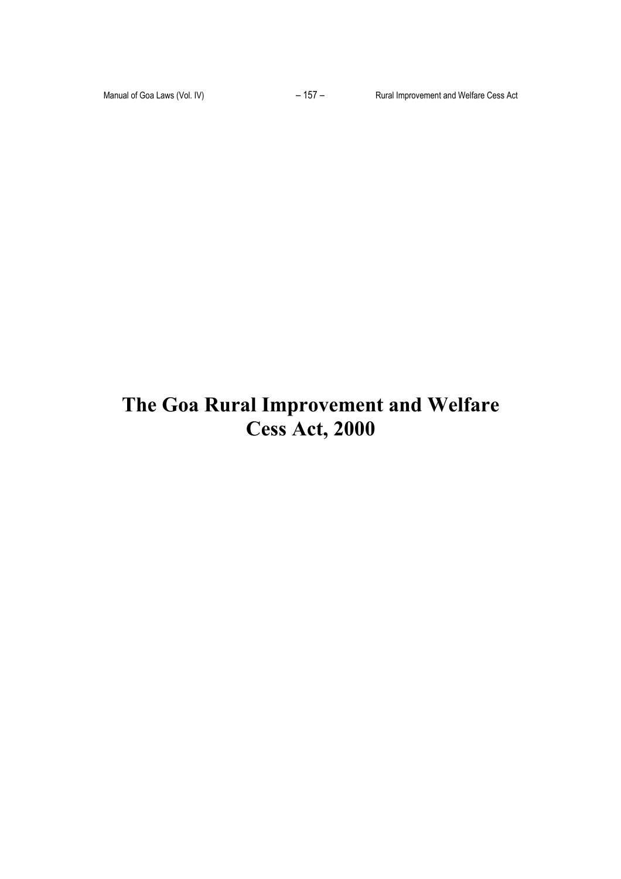# **The Goa Rural Improvement and Welfare Cess Act, 2000**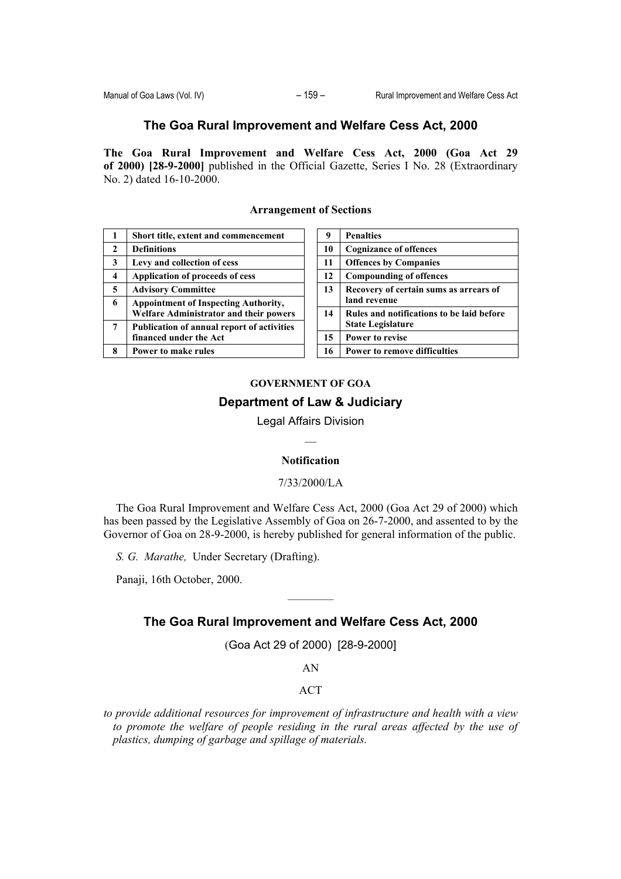## **The Goa Rural Improvement and Welfare Cess Act, 2000**

**The Goa Rural Improvement and Welfare Cess Act, 2000 (Goa Act 29 of 2000) [28-9-2000]** published in the Official Gazette, Series I No. 28 (Extraordinary No. 2) dated 16-10-2000.

| 1                       | Short title, extent and commencement                                                         |
|-------------------------|----------------------------------------------------------------------------------------------|
| $\overline{2}$          | <b>Definitions</b>                                                                           |
| 3                       | Levy and collection of cess                                                                  |
| $\overline{\mathbf{4}}$ | Application of proceeds of cess                                                              |
| 5                       | <b>Advisory Committee</b>                                                                    |
| 6                       | <b>Appointment of Inspecting Authority,</b><br><b>Welfare Administrator and their powers</b> |
| 7                       | <b>Publication of annual report of activities</b><br>financed under the Act                  |
| 8                       | Power to make rules                                                                          |

## **Arrangement of Sections**

| 9  | <b>Penalties</b>                          |
|----|-------------------------------------------|
| 10 | <b>Cognizance of offences</b>             |
| 11 | <b>Offences by Companies</b>              |
| 12 | <b>Compounding of offences</b>            |
| 13 | Recovery of certain sums as arrears of    |
|    | land revenue                              |
| 14 | Rules and notifications to be laid before |
|    | <b>State Legislature</b>                  |
| 15 | <b>Power to revise</b>                    |
| 16 | <b>Power to remove difficulties</b>       |

# **GOVERNMENT OF GOA Department of Law & Judiciary**

Legal Affairs Division

#### **Notification**

#### 7/33/2000/LA

The Goa Rural Improvement and Welfare Cess Act, 2000 (Goa Act 29 of 2000) which has been passed by the Legislative Assembly of Goa on 26-7-2000, and assented to by the Governor of Goa on 28-9-2000, is hereby published for general information of the public.

*S. G. Marathe,* Under Secretary (Drafting).

Panaji, 16th October, 2000.

## **The Goa Rural Improvement and Welfare Cess Act, 2000**

————

(Goa Act 29 of 2000) [28-9-2000]

AN

#### ACT

*to provide additional resources for improvement of infrastructure and health with a view to promote the welfare of people residing in the rural areas affected by the use of plastics, dumping of garbage and spillage of materials.*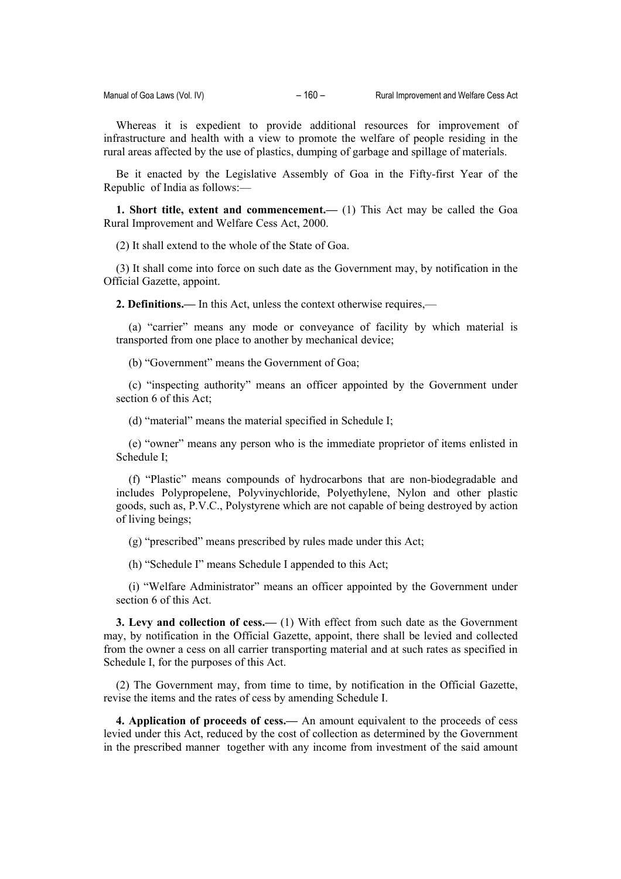Whereas it is expedient to provide additional resources for improvement of infrastructure and health with a view to promote the welfare of people residing in the rural areas affected by the use of plastics, dumping of garbage and spillage of materials.

Be it enacted by the Legislative Assembly of Goa in the Fifty-first Year of the Republic of India as follows:—

**1. Short title, extent and commencement.—** (1) This Act may be called the Goa Rural Improvement and Welfare Cess Act, 2000.

(2) It shall extend to the whole of the State of Goa.

(3) It shall come into force on such date as the Government may, by notification in the Official Gazette, appoint.

**2. Definitions.—** In this Act, unless the context otherwise requires,—

(a) "carrier" means any mode or conveyance of facility by which material is transported from one place to another by mechanical device;

(b) "Government" means the Government of Goa;

(c) "inspecting authority" means an officer appointed by the Government under section 6 of this Act;

(d) "material" means the material specified in Schedule I;

(e) "owner" means any person who is the immediate proprietor of items enlisted in Schedule I;

(f) "Plastic" means compounds of hydrocarbons that are non-biodegradable and includes Polypropelene, Polyvinychloride, Polyethylene, Nylon and other plastic goods, such as, P.V.C., Polystyrene which are not capable of being destroyed by action of living beings;

(g) "prescribed" means prescribed by rules made under this Act;

(h) "Schedule I" means Schedule I appended to this Act;

(i) "Welfare Administrator" means an officer appointed by the Government under section 6 of this Act.

**3. Levy and collection of cess.—** (1) With effect from such date as the Government may, by notification in the Official Gazette, appoint, there shall be levied and collected from the owner a cess on all carrier transporting material and at such rates as specified in Schedule I, for the purposes of this Act.

(2) The Government may, from time to time, by notification in the Official Gazette, revise the items and the rates of cess by amending Schedule I.

**4. Application of proceeds of cess.—** An amount equivalent to the proceeds of cess levied under this Act, reduced by the cost of collection as determined by the Government in the prescribed manner together with any income from investment of the said amount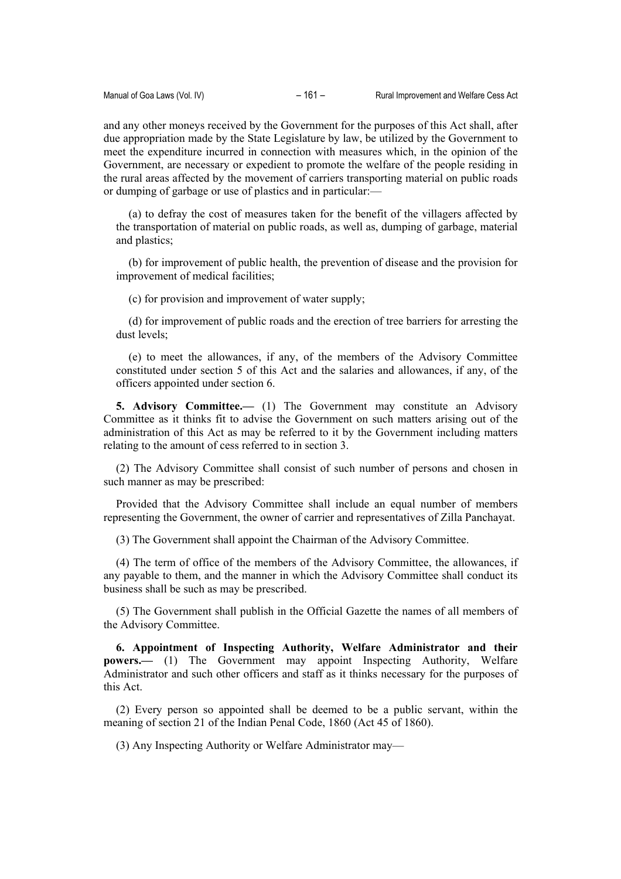and any other moneys received by the Government for the purposes of this Act shall, after due appropriation made by the State Legislature by law, be utilized by the Government to meet the expenditure incurred in connection with measures which, in the opinion of the Government, are necessary or expedient to promote the welfare of the people residing in the rural areas affected by the movement of carriers transporting material on public roads or dumping of garbage or use of plastics and in particular:—

(a) to defray the cost of measures taken for the benefit of the villagers affected by the transportation of material on public roads, as well as, dumping of garbage, material and plastics;

(b) for improvement of public health, the prevention of disease and the provision for improvement of medical facilities;

(c) for provision and improvement of water supply;

(d) for improvement of public roads and the erection of tree barriers for arresting the dust levels;

(e) to meet the allowances, if any, of the members of the Advisory Committee constituted under section 5 of this Act and the salaries and allowances, if any, of the officers appointed under section 6.

**5. Advisory Committee.—** (1) The Government may constitute an Advisory Committee as it thinks fit to advise the Government on such matters arising out of the administration of this Act as may be referred to it by the Government including matters relating to the amount of cess referred to in section 3.

(2) The Advisory Committee shall consist of such number of persons and chosen in such manner as may be prescribed:

Provided that the Advisory Committee shall include an equal number of members representing the Government, the owner of carrier and representatives of Zilla Panchayat.

(3) The Government shall appoint the Chairman of the Advisory Committee.

(4) The term of office of the members of the Advisory Committee, the allowances, if any payable to them, and the manner in which the Advisory Committee shall conduct its business shall be such as may be prescribed.

(5) The Government shall publish in the Official Gazette the names of all members of the Advisory Committee.

**6. Appointment of Inspecting Authority, Welfare Administrator and their powers.—** (1) The Government may appoint Inspecting Authority, Welfare Administrator and such other officers and staff as it thinks necessary for the purposes of this Act.

(2) Every person so appointed shall be deemed to be a public servant, within the meaning of section 21 of the Indian Penal Code, 1860 (Act 45 of 1860).

(3) Any Inspecting Authority or Welfare Administrator may—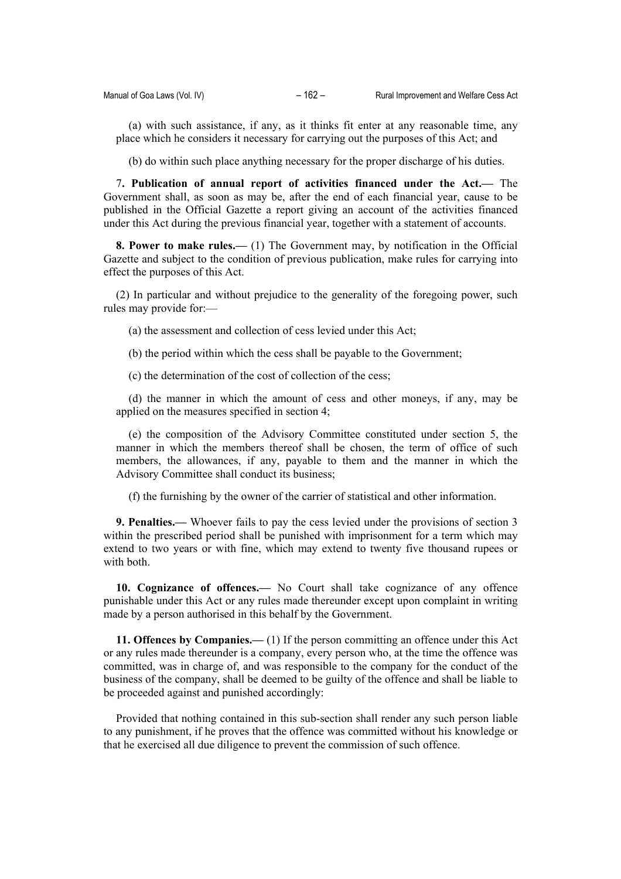(a) with such assistance, if any, as it thinks fit enter at any reasonable time, any place which he considers it necessary for carrying out the purposes of this Act; and

(b) do within such place anything necessary for the proper discharge of his duties.

7**. Publication of annual report of activities financed under the Act.—** The Government shall, as soon as may be, after the end of each financial year, cause to be published in the Official Gazette a report giving an account of the activities financed under this Act during the previous financial year, together with a statement of accounts.

**8. Power to make rules.—** (1) The Government may, by notification in the Official Gazette and subject to the condition of previous publication, make rules for carrying into effect the purposes of this Act.

(2) In particular and without prejudice to the generality of the foregoing power, such rules may provide for:—

(a) the assessment and collection of cess levied under this Act;

(b) the period within which the cess shall be payable to the Government;

(c) the determination of the cost of collection of the cess;

(d) the manner in which the amount of cess and other moneys, if any, may be applied on the measures specified in section 4;

(e) the composition of the Advisory Committee constituted under section 5, the manner in which the members thereof shall be chosen, the term of office of such members, the allowances, if any, payable to them and the manner in which the Advisory Committee shall conduct its business;

(f) the furnishing by the owner of the carrier of statistical and other information.

**9. Penalties.—** Whoever fails to pay the cess levied under the provisions of section 3 within the prescribed period shall be punished with imprisonment for a term which may extend to two years or with fine, which may extend to twenty five thousand rupees or with both.

**10. Cognizance of offences.—** No Court shall take cognizance of any offence punishable under this Act or any rules made thereunder except upon complaint in writing made by a person authorised in this behalf by the Government.

**11. Offences by Companies.—** (1) If the person committing an offence under this Act or any rules made thereunder is a company, every person who, at the time the offence was committed, was in charge of, and was responsible to the company for the conduct of the business of the company, shall be deemed to be guilty of the offence and shall be liable to be proceeded against and punished accordingly:

Provided that nothing contained in this sub-section shall render any such person liable to any punishment, if he proves that the offence was committed without his knowledge or that he exercised all due diligence to prevent the commission of such offence.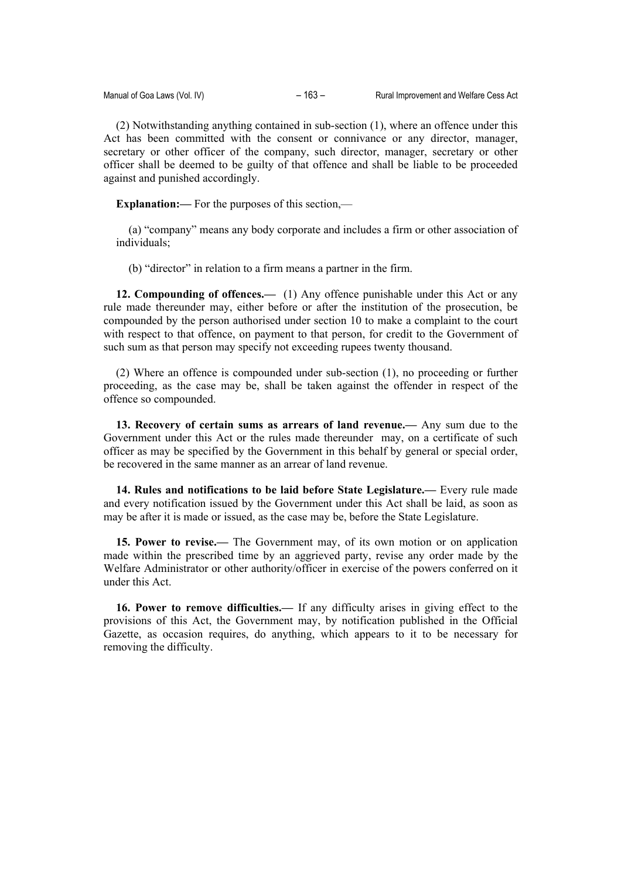(2) Notwithstanding anything contained in sub-section (1), where an offence under this Act has been committed with the consent or connivance or any director, manager, secretary or other officer of the company, such director, manager, secretary or other officer shall be deemed to be guilty of that offence and shall be liable to be proceeded against and punished accordingly.

**Explanation:—** For the purposes of this section,—

(a) "company" means any body corporate and includes a firm or other association of individuals;

(b) "director" in relation to a firm means a partner in the firm.

**12. Compounding of offences.—** (1) Any offence punishable under this Act or any rule made thereunder may, either before or after the institution of the prosecution, be compounded by the person authorised under section 10 to make a complaint to the court with respect to that offence, on payment to that person, for credit to the Government of such sum as that person may specify not exceeding rupees twenty thousand.

(2) Where an offence is compounded under sub-section (1), no proceeding or further proceeding, as the case may be, shall be taken against the offender in respect of the offence so compounded.

**13. Recovery of certain sums as arrears of land revenue.—** Any sum due to the Government under this Act or the rules made thereunder may, on a certificate of such officer as may be specified by the Government in this behalf by general or special order, be recovered in the same manner as an arrear of land revenue.

**14. Rules and notifications to be laid before State Legislature.—** Every rule made and every notification issued by the Government under this Act shall be laid, as soon as may be after it is made or issued, as the case may be, before the State Legislature.

**15. Power to revise.—** The Government may, of its own motion or on application made within the prescribed time by an aggrieved party, revise any order made by the Welfare Administrator or other authority/officer in exercise of the powers conferred on it under this Act.

**16. Power to remove difficulties.—** If any difficulty arises in giving effect to the provisions of this Act, the Government may, by notification published in the Official Gazette, as occasion requires, do anything, which appears to it to be necessary for removing the difficulty.